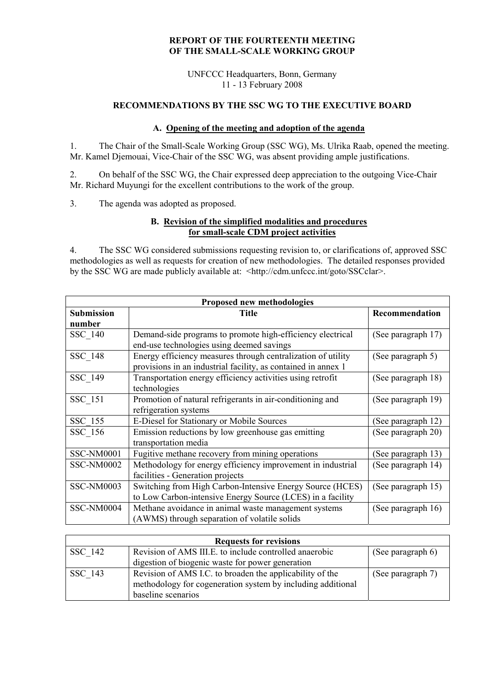### **REPORT OF THE FOURTEENTH MEETING OF THE SMALL-SCALE WORKING GROUP**

UNFCCC Headquarters, Bonn, Germany 11 - 13 February 2008

# **RECOMMENDATIONS BY THE SSC WG TO THE EXECUTIVE BOARD**

### **A. Opening of the meeting and adoption of the agenda**

1. The Chair of the Small-Scale Working Group (SSC WG), Ms. Ulrika Raab, opened the meeting. Mr. Kamel Djemouai, Vice-Chair of the SSC WG, was absent providing ample justifications.

2. On behalf of the SSC WG, the Chair expressed deep appreciation to the outgoing Vice-Chair Mr. Richard Muyungi for the excellent contributions to the work of the group.

3. The agenda was adopted as proposed.

### **B. Revision of the simplified modalities and procedures for small-scale CDM project activities**

4. The SSC WG considered submissions requesting revision to, or clarifications of, approved SSC methodologies as well as requests for creation of new methodologies. The detailed responses provided by the SSC WG are made publicly available at: <http://cdm.unfccc.int/goto/SSCclar>.

| Proposed new methodologies |                                                               |                    |  |
|----------------------------|---------------------------------------------------------------|--------------------|--|
| <b>Submission</b>          | <b>Title</b>                                                  | Recommendation     |  |
| number                     |                                                               |                    |  |
| SSC 140                    | Demand-side programs to promote high-efficiency electrical    | (See paragraph 17) |  |
|                            | end-use technologies using deemed savings                     |                    |  |
| SSC 148                    | Energy efficiency measures through centralization of utility  | (See paragraph 5)  |  |
|                            | provisions in an industrial facility, as contained in annex 1 |                    |  |
| SSC 149                    | Transportation energy efficiency activities using retrofit    | (See paragraph 18) |  |
|                            | technologies                                                  |                    |  |
| SSC 151                    | Promotion of natural refrigerants in air-conditioning and     | (See paragraph 19) |  |
|                            | refrigeration systems                                         |                    |  |
| SSC 155                    | E-Diesel for Stationary or Mobile Sources                     | (See paragraph 12) |  |
| SSC 156                    | Emission reductions by low greenhouse gas emitting            | (See paragraph 20) |  |
|                            | transportation media                                          |                    |  |
| SSC-NM0001                 | Fugitive methane recovery from mining operations              | (See paragraph 13) |  |
| SSC-NM0002                 | Methodology for energy efficiency improvement in industrial   | (See paragraph 14) |  |
|                            | facilities - Generation projects                              |                    |  |
| SSC-NM0003                 | Switching from High Carbon-Intensive Energy Source (HCES)     | (See paragraph 15) |  |
|                            | to Low Carbon-intensive Energy Source (LCES) in a facility    |                    |  |
| SSC-NM0004                 | Methane avoidance in animal waste management systems          | (See paragraph 16) |  |
|                            | (AWMS) through separation of volatile solids                  |                    |  |

| <b>Requests for revisions</b> |                                                             |                   |  |
|-------------------------------|-------------------------------------------------------------|-------------------|--|
| SSC 142                       | Revision of AMS III.E. to include controlled anaerobic      | (See paragraph 6) |  |
|                               | digestion of biogenic waste for power generation            |                   |  |
| SSC 143                       | Revision of AMS I.C. to broaden the applicability of the    | (See paragraph 7) |  |
|                               | methodology for cogeneration system by including additional |                   |  |
|                               | baseline scenarios                                          |                   |  |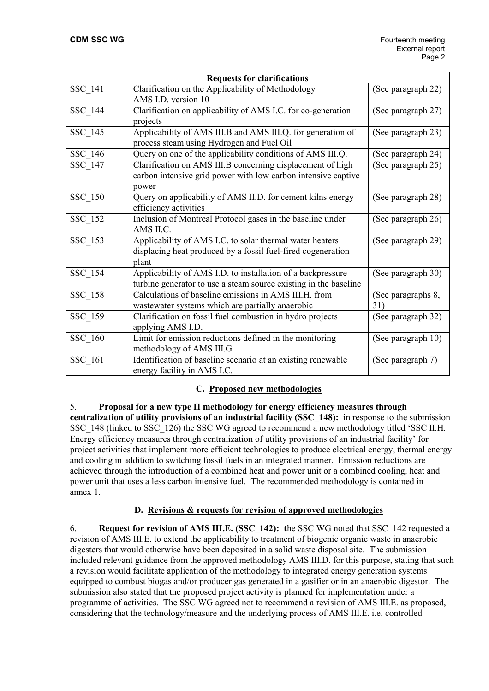| <b>Requests for clarifications</b> |                                                                  |                    |  |
|------------------------------------|------------------------------------------------------------------|--------------------|--|
| <b>SSC 141</b>                     | Clarification on the Applicability of Methodology                | (See paragraph 22) |  |
|                                    | AMS I.D. version 10                                              |                    |  |
| SSC 144                            | Clarification on applicability of AMS I.C. for co-generation     | (See paragraph 27) |  |
|                                    | projects                                                         |                    |  |
| SSC_145                            | Applicability of AMS III.B and AMS III.Q. for generation of      | (See paragraph 23) |  |
|                                    | process steam using Hydrogen and Fuel Oil                        |                    |  |
| SSC 146                            | Query on one of the applicability conditions of AMS III.Q.       | (See paragraph 24) |  |
| SSC 147                            | Clarification on AMS III.B concerning displacement of high       | (See paragraph 25) |  |
|                                    | carbon intensive grid power with low carbon intensive captive    |                    |  |
|                                    | power                                                            |                    |  |
| SSC_150                            | Query on applicability of AMS II.D. for cement kilns energy      | (See paragraph 28) |  |
|                                    | efficiency activities                                            |                    |  |
| SSC_152                            | Inclusion of Montreal Protocol gases in the baseline under       | (See paragraph 26) |  |
|                                    | AMS II.C.                                                        |                    |  |
| SSC_153                            | Applicability of AMS I.C. to solar thermal water heaters         | (See paragraph 29) |  |
|                                    | displacing heat produced by a fossil fuel-fired cogeneration     |                    |  |
|                                    | plant                                                            |                    |  |
| SSC_154                            | Applicability of AMS I.D. to installation of a backpressure      | (See paragraph 30) |  |
|                                    | turbine generator to use a steam source existing in the baseline |                    |  |
| SSC_158                            | Calculations of baseline emissions in AMS III.H. from            | (See paragraphs 8, |  |
|                                    | wastewater systems which are partially anaerobic                 | 31)                |  |
| SSC_159                            | Clarification on fossil fuel combustion in hydro projects        | (See paragraph 32) |  |
|                                    | applying AMS I.D.                                                |                    |  |
| SSC 160                            | Limit for emission reductions defined in the monitoring          | (See paragraph 10) |  |
|                                    | methodology of AMS III.G.                                        |                    |  |
| SSC_161                            | Identification of baseline scenario at an existing renewable     | (See paragraph 7)  |  |
|                                    | energy facility in AMS I.C.                                      |                    |  |

# **C. Proposed new methodologies**

5. **Proposal for a new type II methodology for energy efficiency measures through centralization of utility provisions of an industrial facility (SSC\_148):** in response to the submission SSC\_148 (linked to SSC\_126) the SSC WG agreed to recommend a new methodology titled 'SSC II.H. Energy efficiency measures through centralization of utility provisions of an industrial facility' for project activities that implement more efficient technologies to produce electrical energy, thermal energy and cooling in addition to switching fossil fuels in an integrated manner. Emission reductions are achieved through the introduction of a combined heat and power unit or a combined cooling, heat and power unit that uses a less carbon intensive fuel. The recommended methodology is contained in annex 1.

# **D. Revisions & requests for revision of approved methodologies**

6. **Request for revision of AMS III.E. (SSC\_142): t**he SSC WG noted that SSC\_142 requested a revision of AMS III.E. to extend the applicability to treatment of biogenic organic waste in anaerobic digesters that would otherwise have been deposited in a solid waste disposal site. The submission included relevant guidance from the approved methodology AMS III.D. for this purpose, stating that such a revision would facilitate application of the methodology to integrated energy generation systems equipped to combust biogas and/or producer gas generated in a gasifier or in an anaerobic digestor. The submission also stated that the proposed project activity is planned for implementation under a programme of activities. The SSC WG agreed not to recommend a revision of AMS III.E. as proposed, considering that the technology/measure and the underlying process of AMS III.E. i.e. controlled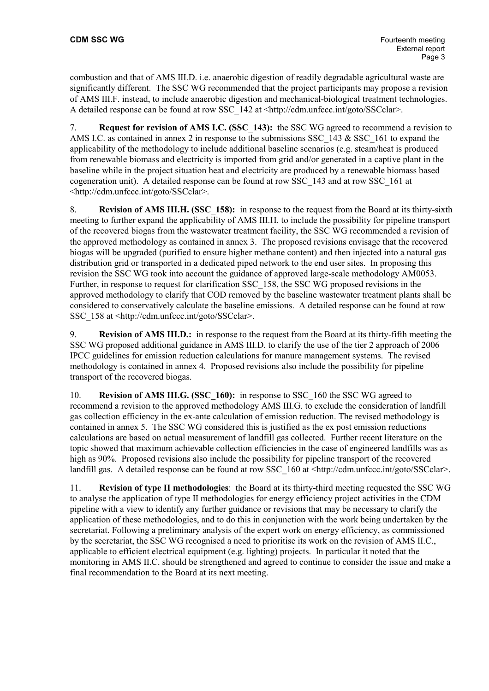combustion and that of AMS III.D. i.e. anaerobic digestion of readily degradable agricultural waste are significantly different. The SSC WG recommended that the project participants may propose a revision of AMS III.F. instead, to include anaerobic digestion and mechanical-biological treatment technologies. A detailed response can be found at row SSC\_142 at <http://cdm.unfccc.int/goto/SSCclar>.

7. **Request for revision of AMS I.C. (SSC\_143):** the SSC WG agreed to recommend a revision to AMS I.C. as contained in annex 2 in response to the submissions SSC\_143 & SSC\_161 to expand the applicability of the methodology to include additional baseline scenarios (e.g. steam/heat is produced from renewable biomass and electricity is imported from grid and/or generated in a captive plant in the baseline while in the project situation heat and electricity are produced by a renewable biomass based cogeneration unit). A detailed response can be found at row SSC\_143 and at row SSC\_161 at <http://cdm.unfccc.int/goto/SSCclar>.

8. **Revision of AMS III.H. (SSC\_158):** in response to the request from the Board at its thirty-sixth meeting to further expand the applicability of AMS III.H. to include the possibility for pipeline transport of the recovered biogas from the wastewater treatment facility, the SSC WG recommended a revision of the approved methodology as contained in annex 3. The proposed revisions envisage that the recovered biogas will be upgraded (purified to ensure higher methane content) and then injected into a natural gas distribution grid or transported in a dedicated piped network to the end user sites. In proposing this revision the SSC WG took into account the guidance of approved large-scale methodology AM0053. Further, in response to request for clarification SSC\_158, the SSC WG proposed revisions in the approved methodology to clarify that COD removed by the baseline wastewater treatment plants shall be considered to conservatively calculate the baseline emissions. A detailed response can be found at row SSC 158 at <http://cdm.unfccc.int/goto/SSCclar>.

9. **Revision of AMS III.D.:** in response to the request from the Board at its thirty-fifth meeting the SSC WG proposed additional guidance in AMS III.D. to clarify the use of the tier 2 approach of 2006 IPCC guidelines for emission reduction calculations for manure management systems. The revised methodology is contained in annex 4. Proposed revisions also include the possibility for pipeline transport of the recovered biogas.

10. **Revision of AMS III.G. (SSC\_160):** in response to SSC\_160 the SSC WG agreed to recommend a revision to the approved methodology AMS III.G. to exclude the consideration of landfill gas collection efficiency in the ex-ante calculation of emission reduction. The revised methodology is contained in annex 5. The SSC WG considered this is justified as the ex post emission reductions calculations are based on actual measurement of landfill gas collected. Further recent literature on the topic showed that maximum achievable collection efficiencies in the case of engineered landfills was as high as 90%. Proposed revisions also include the possibility for pipeline transport of the recovered landfill gas. A detailed response can be found at row SSC 160 at <http://cdm.unfccc.int/goto/SSCclar>.

11. **Revision of type II methodologies**: the Board at its thirty-third meeting requested the SSC WG to analyse the application of type II methodologies for energy efficiency project activities in the CDM pipeline with a view to identify any further guidance or revisions that may be necessary to clarify the application of these methodologies, and to do this in conjunction with the work being undertaken by the secretariat. Following a preliminary analysis of the expert work on energy efficiency, as commissioned by the secretariat, the SSC WG recognised a need to prioritise its work on the revision of AMS II.C., applicable to efficient electrical equipment (e.g. lighting) projects. In particular it noted that the monitoring in AMS II.C. should be strengthened and agreed to continue to consider the issue and make a final recommendation to the Board at its next meeting.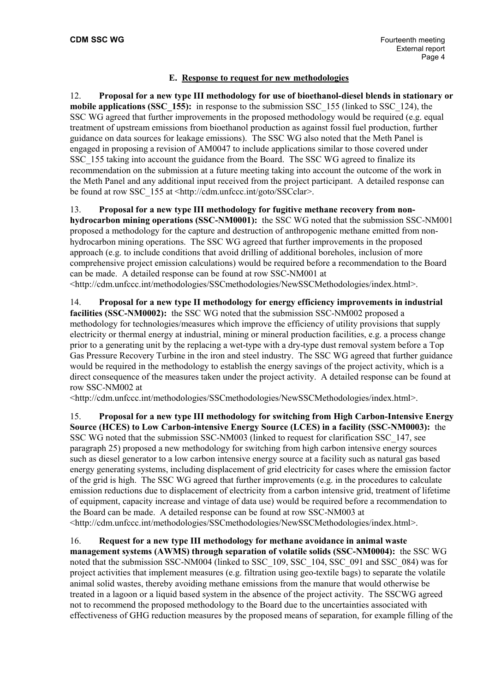### **E. Response to request for new methodologies**

12. **Proposal for a new type III methodology for use of bioethanol-diesel blends in stationary or mobile applications (SSC\_155):** in response to the submission SSC\_155 (linked to SSC\_124), the SSC WG agreed that further improvements in the proposed methodology would be required (e.g. equal treatment of upstream emissions from bioethanol production as against fossil fuel production, further guidance on data sources for leakage emissions). The SSC WG also noted that the Meth Panel is engaged in proposing a revision of AM0047 to include applications similar to those covered under SSC\_155 taking into account the guidance from the Board. The SSC WG agreed to finalize its recommendation on the submission at a future meeting taking into account the outcome of the work in the Meth Panel and any additional input received from the project participant. A detailed response can be found at row SSC\_155 at <http://cdm.unfccc.int/goto/SSCclar>.

13. **Proposal for a new type III methodology for fugitive methane recovery from nonhydrocarbon mining operations (SSC-NM0001):** the SSC WG noted that the submission SSC-NM001 proposed a methodology for the capture and destruction of anthropogenic methane emitted from nonhydrocarbon mining operations. The SSC WG agreed that further improvements in the proposed approach (e.g. to include conditions that avoid drilling of additional boreholes, inclusion of more comprehensive project emission calculations) would be required before a recommendation to the Board can be made. A detailed response can be found at row SSC-NM001 at

<http://cdm.unfccc.int/methodologies/SSCmethodologies/NewSSCMethodologies/index.html>.

14. **Proposal for a new type II methodology for energy efficiency improvements in industrial facilities (SSC-NM0002):** the SSC WG noted that the submission SSC-NM002 proposed a methodology for technologies/measures which improve the efficiency of utility provisions that supply electricity or thermal energy at industrial, mining or mineral production facilities, e.g. a process change prior to a generating unit by the replacing a wet-type with a dry-type dust removal system before a Top Gas Pressure Recovery Turbine in the iron and steel industry. The SSC WG agreed that further guidance would be required in the methodology to establish the energy savings of the project activity, which is a direct consequence of the measures taken under the project activity. A detailed response can be found at row SSC-NM002 at

<http://cdm.unfccc.int/methodologies/SSCmethodologies/NewSSCMethodologies/index.html>.

15. **Proposal for a new type III methodology for switching from High Carbon-Intensive Energy Source (HCES) to Low Carbon-intensive Energy Source (LCES) in a facility (SSC-NM0003):** the SSC WG noted that the submission SSC-NM003 (linked to request for clarification SSC\_147, see paragraph 25) proposed a new methodology for switching from high carbon intensive energy sources such as diesel generator to a low carbon intensive energy source at a facility such as natural gas based energy generating systems, including displacement of grid electricity for cases where the emission factor of the grid is high. The SSC WG agreed that further improvements (e.g. in the procedures to calculate emission reductions due to displacement of electricity from a carbon intensive grid, treatment of lifetime of equipment, capacity increase and vintage of data use) would be required before a recommendation to the Board can be made. A detailed response can be found at row SSC-NM003 at <http://cdm.unfccc.int/methodologies/SSCmethodologies/NewSSCMethodologies/index.html>.

16. **Request for a new type III methodology for methane avoidance in animal waste management systems (AWMS) through separation of volatile solids (SSC-NM0004):** the SSC WG noted that the submission SSC-NM004 (linked to SSC\_109, SSC\_104, SSC\_091 and SSC\_084) was for project activities that implement measures (e.g. filtration using geo-textile bags) to separate the volatile animal solid wastes, thereby avoiding methane emissions from the manure that would otherwise be treated in a lagoon or a liquid based system in the absence of the project activity. The SSCWG agreed not to recommend the proposed methodology to the Board due to the uncertainties associated with effectiveness of GHG reduction measures by the proposed means of separation, for example filling of the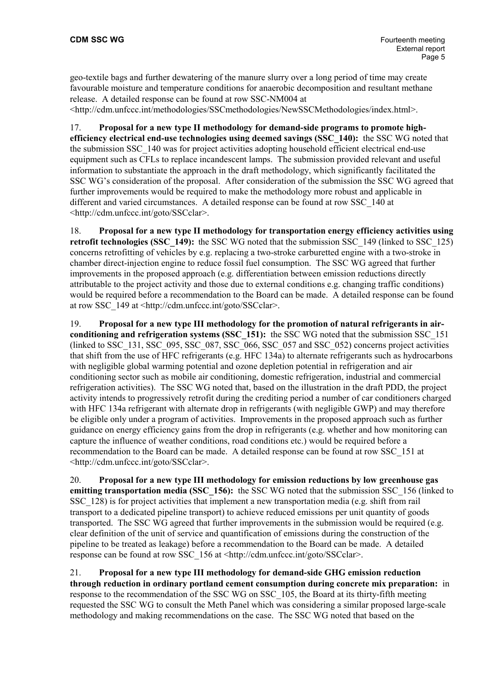geo-textile bags and further dewatering of the manure slurry over a long period of time may create favourable moisture and temperature conditions for anaerobic decomposition and resultant methane release. A detailed response can be found at row SSC-NM004 at

<http://cdm.unfccc.int/methodologies/SSCmethodologies/NewSSCMethodologies/index.html>.

17. **Proposal for a new type II methodology for demand-side programs to promote highefficiency electrical end-use technologies using deemed savings (SSC\_140):** the SSC WG noted that the submission SSC\_140 was for project activities adopting household efficient electrical end-use equipment such as CFLs to replace incandescent lamps. The submission provided relevant and useful information to substantiate the approach in the draft methodology, which significantly facilitated the SSC WG's consideration of the proposal. After consideration of the submission the SSC WG agreed that further improvements would be required to make the methodology more robust and applicable in different and varied circumstances. A detailed response can be found at row SSC\_140 at <http://cdm.unfccc.int/goto/SSCclar>.

18. **Proposal for a new type II methodology for transportation energy efficiency activities using retrofit technologies (SSC\_149):** the SSC WG noted that the submission SSC\_149 (linked to SSC\_125) concerns retrofitting of vehicles by e.g. replacing a two-stroke carburetted engine with a two-stroke in chamber direct-injection engine to reduce fossil fuel consumption. The SSC WG agreed that further improvements in the proposed approach (e.g. differentiation between emission reductions directly attributable to the project activity and those due to external conditions e.g. changing traffic conditions) would be required before a recommendation to the Board can be made. A detailed response can be found at row SSC\_149 at <http://cdm.unfccc.int/goto/SSCclar>.

19. **Proposal for a new type III methodology for the promotion of natural refrigerants in airconditioning and refrigeration systems (SSC\_151):** the SSC WG noted that the submission SSC\_151 (linked to SSC\_131, SSC\_095, SSC\_087, SSC\_066, SSC\_057 and SSC\_052) concerns project activities that shift from the use of HFC refrigerants (e.g. HFC 134a) to alternate refrigerants such as hydrocarbons with negligible global warming potential and ozone depletion potential in refrigeration and air conditioning sector such as mobile air conditioning, domestic refrigeration, industrial and commercial refrigeration activities). The SSC WG noted that, based on the illustration in the draft PDD, the project activity intends to progressively retrofit during the crediting period a number of car conditioners charged with HFC 134a refrigerant with alternate drop in refrigerants (with negligible GWP) and may therefore be eligible only under a program of activities. Improvements in the proposed approach such as further guidance on energy efficiency gains from the drop in refrigerants (e.g. whether and how monitoring can capture the influence of weather conditions, road conditions etc.) would be required before a recommendation to the Board can be made. A detailed response can be found at row SSC\_151 at <http://cdm.unfccc.int/goto/SSCclar>.

20. **Proposal for a new type III methodology for emission reductions by low greenhouse gas emitting transportation media (SSC\_156):** the SSC WG noted that the submission SSC\_156 (linked to SSC\_128) is for project activities that implement a new transportation media (e.g. shift from rail transport to a dedicated pipeline transport) to achieve reduced emissions per unit quantity of goods transported. The SSC WG agreed that further improvements in the submission would be required (e.g. clear definition of the unit of service and quantification of emissions during the construction of the pipeline to be treated as leakage) before a recommendation to the Board can be made. A detailed response can be found at row SSC\_156 at <http://cdm.unfccc.int/goto/SSCclar>.

21. **Proposal for a new type III methodology for demand-side GHG emission reduction through reduction in ordinary portland cement consumption during concrete mix preparation:** in response to the recommendation of the SSC WG on SSC\_105, the Board at its thirty-fifth meeting requested the SSC WG to consult the Meth Panel which was considering a similar proposed large-scale methodology and making recommendations on the case. The SSC WG noted that based on the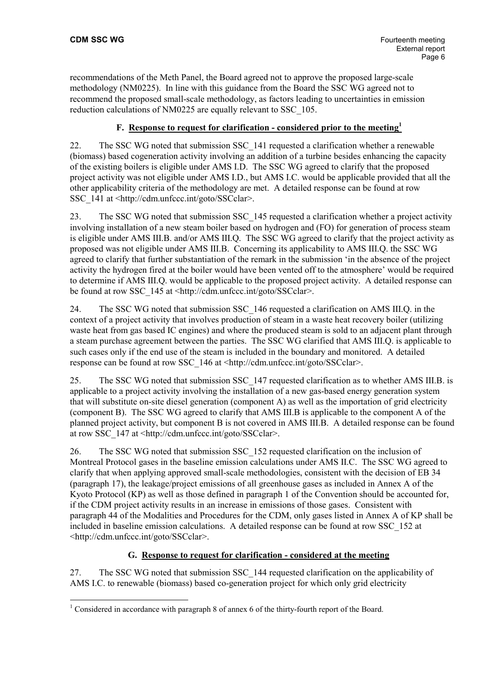recommendations of the Meth Panel, the Board agreed not to approve the proposed large-scale methodology (NM0225). In line with this guidance from the Board the SSC WG agreed not to recommend the proposed small-scale methodology, as factors leading to uncertainties in emission reduction calculations of NM0225 are equally relevant to SSC\_105.

# **F. Response to request for clarification - considered prior to the meeting<sup>1</sup>**

22. The SSC WG noted that submission SSC\_141 requested a clarification whether a renewable (biomass) based cogeneration activity involving an addition of a turbine besides enhancing the capacity of the existing boilers is eligible under AMS I.D. The SSC WG agreed to clarify that the proposed project activity was not eligible under AMS I.D., but AMS I.C. would be applicable provided that all the other applicability criteria of the methodology are met. A detailed response can be found at row SSC\_141 at <http://cdm.unfccc.int/goto/SSCclar>.

23. The SSC WG noted that submission SSC\_145 requested a clarification whether a project activity involving installation of a new steam boiler based on hydrogen and (FO) for generation of process steam is eligible under AMS III.B. and/or AMS III.Q. The SSC WG agreed to clarify that the project activity as proposed was not eligible under AMS III.B. Concerning its applicability to AMS III.Q. the SSC WG agreed to clarify that further substantiation of the remark in the submission 'in the absence of the project activity the hydrogen fired at the boiler would have been vented off to the atmosphere' would be required to determine if AMS III.Q. would be applicable to the proposed project activity. A detailed response can be found at row SSC\_145 at <http://cdm.unfccc.int/goto/SSCclar>.

24. The SSC WG noted that submission SSC\_146 requested a clarification on AMS III.Q. in the context of a project activity that involves production of steam in a waste heat recovery boiler (utilizing waste heat from gas based IC engines) and where the produced steam is sold to an adjacent plant through a steam purchase agreement between the parties. The SSC WG clarified that AMS III.Q. is applicable to such cases only if the end use of the steam is included in the boundary and monitored. A detailed response can be found at row SSC\_146 at <http://cdm.unfccc.int/goto/SSCclar>.

25. The SSC WG noted that submission SSC\_147 requested clarification as to whether AMS III.B. is applicable to a project activity involving the installation of a new gas-based energy generation system that will substitute on-site diesel generation (component A) as well as the importation of grid electricity (component B). The SSC WG agreed to clarify that AMS III.B is applicable to the component A of the planned project activity, but component B is not covered in AMS III.B. A detailed response can be found at row SSC\_147 at <http://cdm.unfccc.int/goto/SSCclar>.

26. The SSC WG noted that submission SSC\_152 requested clarification on the inclusion of Montreal Protocol gases in the baseline emission calculations under AMS II.C. The SSC WG agreed to clarify that when applying approved small-scale methodologies, consistent with the decision of EB 34 (paragraph 17), the leakage/project emissions of all greenhouse gases as included in Annex A of the Kyoto Protocol (KP) as well as those defined in paragraph 1 of the Convention should be accounted for, if the CDM project activity results in an increase in emissions of those gases. Consistent with paragraph 44 of the Modalities and Procedures for the CDM, only gases listed in Annex A of KP shall be included in baseline emission calculations. A detailed response can be found at row SSC\_152 at <http://cdm.unfccc.int/goto/SSCclar>.

#### **G. Response to request for clarification - considered at the meeting**

27. The SSC WG noted that submission SSC\_144 requested clarification on the applicability of AMS I.C. to renewable (biomass) based co-generation project for which only grid electricity

<sup>&</sup>lt;sup>1</sup> Considered in accordance with paragraph 8 of annex 6 of the thirty-fourth report of the Board.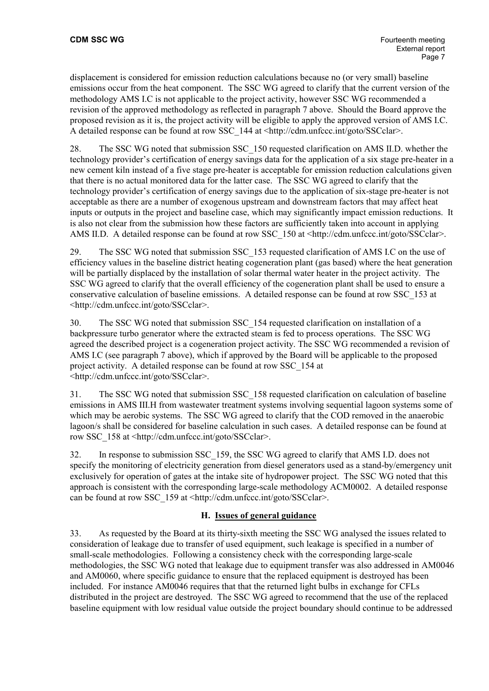displacement is considered for emission reduction calculations because no (or very small) baseline emissions occur from the heat component. The SSC WG agreed to clarify that the current version of the methodology AMS I.C is not applicable to the project activity, however SSC WG recommended a revision of the approved methodology as reflected in paragraph 7 above. Should the Board approve the proposed revision as it is, the project activity will be eligible to apply the approved version of AMS I.C. A detailed response can be found at row SSC\_144 at <http://cdm.unfccc.int/goto/SSCclar>.

28. The SSC WG noted that submission SSC\_150 requested clarification on AMS II.D. whether the technology provider's certification of energy savings data for the application of a six stage pre-heater in a new cement kiln instead of a five stage pre-heater is acceptable for emission reduction calculations given that there is no actual monitored data for the latter case. The SSC WG agreed to clarify that the technology provider's certification of energy savings due to the application of six-stage pre-heater is not acceptable as there are a number of exogenous upstream and downstream factors that may affect heat inputs or outputs in the project and baseline case, which may significantly impact emission reductions. It is also not clear from the submission how these factors are sufficiently taken into account in applying AMS II.D. A detailed response can be found at row SSC 150 at  $\langle \frac{http://cdm.unface.int/goto/SSCclar}{$ .

29. The SSC WG noted that submission SSC\_153 requested clarification of AMS I.C on the use of efficiency values in the baseline district heating cogeneration plant (gas based) where the heat generation will be partially displaced by the installation of solar thermal water heater in the project activity. The SSC WG agreed to clarify that the overall efficiency of the cogeneration plant shall be used to ensure a conservative calculation of baseline emissions. A detailed response can be found at row SSC\_153 at <http://cdm.unfccc.int/goto/SSCclar>.

30. The SSC WG noted that submission SSC\_154 requested clarification on installation of a backpressure turbo generator where the extracted steam is fed to process operations. The SSC WG agreed the described project is a cogeneration project activity. The SSC WG recommended a revision of AMS I.C (see paragraph 7 above), which if approved by the Board will be applicable to the proposed project activity. A detailed response can be found at row SSC\_154 at <http://cdm.unfccc.int/goto/SSCclar>.

31. The SSC WG noted that submission SSC\_158 requested clarification on calculation of baseline emissions in AMS III.H from wastewater treatment systems involving sequential lagoon systems some of which may be aerobic systems. The SSC WG agreed to clarify that the COD removed in the anaerobic lagoon/s shall be considered for baseline calculation in such cases. A detailed response can be found at row SSC\_158 at <http://cdm.unfccc.int/goto/SSCclar>.

32. In response to submission SSC\_159, the SSC WG agreed to clarify that AMS I.D. does not specify the monitoring of electricity generation from diesel generators used as a stand-by/emergency unit exclusively for operation of gates at the intake site of hydropower project. The SSC WG noted that this approach is consistent with the corresponding large-scale methodology ACM0002. A detailed response can be found at row SSC\_159 at <http://cdm.unfccc.int/goto/SSCclar>.

# **H. Issues of general guidance**

33. As requested by the Board at its thirty-sixth meeting the SSC WG analysed the issues related to consideration of leakage due to transfer of used equipment, such leakage is specified in a number of small-scale methodologies. Following a consistency check with the corresponding large-scale methodologies, the SSC WG noted that leakage due to equipment transfer was also addressed in AM0046 and AM0060, where specific guidance to ensure that the replaced equipment is destroyed has been included. For instance AM0046 requires that that the returned light bulbs in exchange for CFLs distributed in the project are destroyed. The SSC WG agreed to recommend that the use of the replaced baseline equipment with low residual value outside the project boundary should continue to be addressed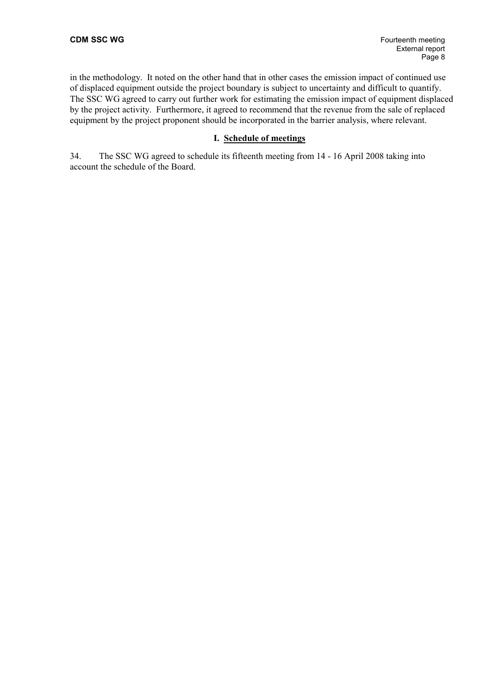in the methodology. It noted on the other hand that in other cases the emission impact of continued use of displaced equipment outside the project boundary is subject to uncertainty and difficult to quantify. The SSC WG agreed to carry out further work for estimating the emission impact of equipment displaced by the project activity. Furthermore, it agreed to recommend that the revenue from the sale of replaced equipment by the project proponent should be incorporated in the barrier analysis, where relevant.

#### **I. Schedule of meetings**

34. The SSC WG agreed to schedule its fifteenth meeting from 14 - 16 April 2008 taking into account the schedule of the Board.